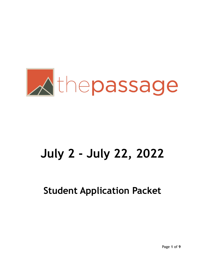

# **July 2 - July 22, 2022**

**Student Application Packet**

Page **1** of **9**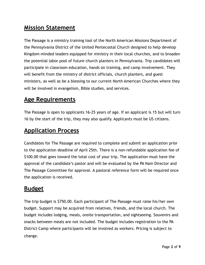#### **Mission Statement**

The Passage is a ministry training tool of the North American Missions Department of the Pennsylvania District of the United Pentecostal Church designed to help develop Kingdom-minded leaders equipped for ministry in their local churches, and to broaden the potential labor pool of future church planters in Pennsylvania. Trip candidates will participate in classroom education, hands on training, and camp involvement. They will benefit from the ministry of district officials, church planters, and guest ministers, as well as be a blessing to our current North American Churches where they will be involved in evangelism, Bible studies, and services.

#### **Age Requirements**

The Passage is open to applicants 16-25 years of age. If an applicant is 15 but will turn 16 by the start of the trip, they may also qualify. Applicants must be US citizens.

#### **Application Process**

Candidates for The Passage are required to complete and submit an application prior to the application deadline of April 25th. There is a non-refundable application fee of \$100.00 that goes toward the total cost of your trip. The application must have the approval of the candidate's pastor and will be evaluated by the PA Nam Director and The Passage Committee for approval. A pastoral reference form will be required once the application is received.

#### **Budget**

The trip budget is \$750.00. Each participant of The Passage must raise his/her own budget. Support may be acquired from relatives, friends, and the local church. The budget includes lodging, meals, onsite transportation, and sightseeing. Souvenirs and snacks between meals are not included. The budget includes registration to the PA District Camp where participants will be involved as workers. Pricing is subject to change.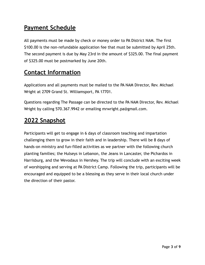### **Payment Schedule**

All payments must be made by check or money order to PA District NAM. The first \$100.00 is the non-refundable application fee that must be submitted by April 25th. The second payment is due by May 23rd in the amount of \$325.00. The final payment of \$325.00 must be postmarked by June 20th.

#### **Contact Information**

Applications and all payments must be mailed to the PA NAM Director, Rev. Michael Wright at 2709 Grand St. Williamsport, PA 17701.

Questions regarding The Passage can be directed to the PA NAM Director, Rev. Michael Wright by calling 570.367.9942 or emailing mrwright.pa@gmail.com.

#### **2022 Snapshot**

Participants will get to engage in 6 days of classroom teaching and impartation challenging them to grow in their faith and in leadership. There will be 8 days of hands-on ministry and fun-filled activities as we partner with the following church planting families; the Hulseys in Lebanon, the Jeans in Lancaster, the Pichardos in Harrisburg, and the Wevodaus in Hershey. The trip will conclude with an exciting week of worshipping and serving at PA District Camp. Following the trip, participants will be encouraged and equipped to be a blessing as they serve in their local church under the direction of their pastor.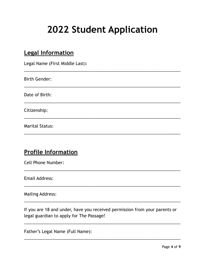## **2022 Student Application**

| ----<br>-----------<br>Legal Name (First Middle Last): |
|--------------------------------------------------------|
| <b>Birth Gender:</b>                                   |
| Date of Birth:                                         |
| Citizenship:                                           |
| <b>Marital Status:</b>                                 |

#### **Profile Information**

**Legal Information**

Cell Phone Number:

Email Address:

Mailing Address:

If you are 18 and under, have you received permission from your parents or legal guardian to apply for The Passage?

\_\_\_\_\_\_\_\_\_\_\_\_\_\_\_\_\_\_\_\_\_\_\_\_\_\_\_\_\_\_\_\_\_\_\_\_\_\_\_\_\_\_\_\_\_\_\_\_\_\_\_\_\_\_\_\_\_\_\_\_\_\_\_\_\_\_

 $\overline{\phantom{a}}$  , and the contract of the contract of the contract of the contract of the contract of the contract of the contract of the contract of the contract of the contract of the contract of the contract of the contrac

 $\overline{\phantom{a}}$  , and the contract of the contract of the contract of the contract of the contract of the contract of the contract of the contract of the contract of the contract of the contract of the contract of the contrac

\_\_\_\_\_\_\_\_\_\_\_\_\_\_\_\_\_\_\_\_\_\_\_\_\_\_\_\_\_\_\_\_\_\_\_\_\_\_\_\_\_\_\_\_\_\_\_\_\_\_\_\_\_\_\_\_\_\_\_\_\_\_\_\_\_\_

\_\_\_\_\_\_\_\_\_\_\_\_\_\_\_\_\_\_\_\_\_\_\_\_\_\_\_\_\_\_\_\_\_\_\_\_\_\_\_\_\_\_\_\_\_\_\_\_\_\_\_\_\_\_\_\_\_\_\_\_\_\_\_\_\_\_

Father's Legal Name (Full Name):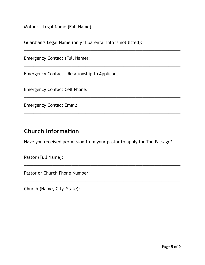Mother's Legal Name (Full Name):

Guardian's Legal Name (only if parental info is not listed):

\_\_\_\_\_\_\_\_\_\_\_\_\_\_\_\_\_\_\_\_\_\_\_\_\_\_\_\_\_\_\_\_\_\_\_\_\_\_\_\_\_\_\_\_\_\_\_\_\_\_\_\_\_\_\_\_\_\_\_\_\_\_\_\_\_\_

\_\_\_\_\_\_\_\_\_\_\_\_\_\_\_\_\_\_\_\_\_\_\_\_\_\_\_\_\_\_\_\_\_\_\_\_\_\_\_\_\_\_\_\_\_\_\_\_\_\_\_\_\_\_\_\_\_\_\_\_\_\_\_\_\_\_

 $\overline{\phantom{a}}$  , and the contract of the contract of the contract of the contract of the contract of the contract of the contract of the contract of the contract of the contract of the contract of the contract of the contrac

 $\overline{\phantom{a}}$  , and the contract of the contract of the contract of the contract of the contract of the contract of the contract of the contract of the contract of the contract of the contract of the contract of the contrac

\_\_\_\_\_\_\_\_\_\_\_\_\_\_\_\_\_\_\_\_\_\_\_\_\_\_\_\_\_\_\_\_\_\_\_\_\_\_\_\_\_\_\_\_\_\_\_\_\_\_\_\_\_\_\_\_\_\_\_\_\_\_\_\_\_\_

\_\_\_\_\_\_\_\_\_\_\_\_\_\_\_\_\_\_\_\_\_\_\_\_\_\_\_\_\_\_\_\_\_\_\_\_\_\_\_\_\_\_\_\_\_\_\_\_\_\_\_\_\_\_\_\_\_\_\_\_\_\_\_\_\_\_

Emergency Contact (Full Name):

Emergency Contact – Relationship to Applicant:

Emergency Contact Cell Phone:

Emergency Contact Email:

#### **Church Information**

Have you received permission from your pastor to apply for The Passage?

 $\overline{\phantom{a}}$  , and the contract of the contract of the contract of the contract of the contract of the contract of the contract of the contract of the contract of the contract of the contract of the contract of the contrac

 $\overline{\phantom{a}}$  , and the contract of the contract of the contract of the contract of the contract of the contract of the contract of the contract of the contract of the contract of the contract of the contract of the contrac

\_\_\_\_\_\_\_\_\_\_\_\_\_\_\_\_\_\_\_\_\_\_\_\_\_\_\_\_\_\_\_\_\_\_\_\_\_\_\_\_\_\_\_\_\_\_\_\_\_\_\_\_\_\_\_\_\_\_\_\_\_\_\_\_\_\_

\_\_\_\_\_\_\_\_\_\_\_\_\_\_\_\_\_\_\_\_\_\_\_\_\_\_\_\_\_\_\_\_\_\_\_\_\_\_\_\_\_\_\_\_\_\_\_\_\_\_\_\_\_\_\_\_\_\_\_\_\_\_\_\_\_\_

Pastor (Full Name):

Pastor or Church Phone Number:

Church (Name, City, State):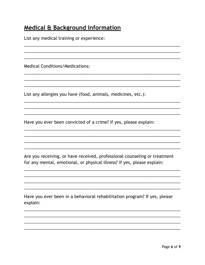#### **Medical & Background Information**

List any medical training or experience:

**Medical Conditions/Medications:** 

List any allergies you have (food, animals, medicines, etc.):

Have you ever been convicted of a crime? If yes, please explain:

Are you receiving, or have received, professional counseling or treatment for any mental, emotional, or physical illness? If yes, please explain:

Have you ever been in a behavioral rehabilitation program? If yes, please explain: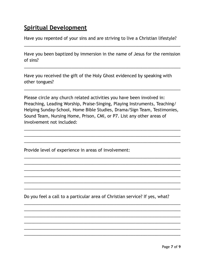#### **Spiritual Development**

Have you repented of your sins and are striving to live a Christian lifestyle?

Have you been baptized by immersion in the name of Jesus for the remission of sins?

\_\_\_\_\_\_\_\_\_\_\_\_\_\_\_\_\_\_\_\_\_\_\_\_\_\_\_\_\_\_\_\_\_\_\_\_\_\_\_\_\_\_\_\_\_\_\_\_\_\_\_\_\_\_\_\_\_\_\_\_\_\_\_\_\_\_

\_\_\_\_\_\_\_\_\_\_\_\_\_\_\_\_\_\_\_\_\_\_\_\_\_\_\_\_\_\_\_\_\_\_\_\_\_\_\_\_\_\_\_\_\_\_\_\_\_\_\_\_\_\_\_\_\_\_\_\_\_\_\_\_\_\_

\_\_\_\_\_\_\_\_\_\_\_\_\_\_\_\_\_\_\_\_\_\_\_\_\_\_\_\_\_\_\_\_\_\_\_\_\_\_\_\_\_\_\_\_\_\_\_\_\_\_\_\_\_\_\_\_\_\_\_\_\_\_\_\_\_\_

Have you received the gift of the Holy Ghost evidenced by speaking with other tongues?

Please circle any church related activities you have been involved in: Preaching, Leading Worship, Praise-Singing, Playing Instruments, Teaching/ Helping Sunday-School, Home Bible Studies, Drama/Sign Team, Testimonies, Sound Team, Nursing Home, Prison, CMI, or P7. List any other areas of involvement not included:

\_\_\_\_\_\_\_\_\_\_\_\_\_\_\_\_\_\_\_\_\_\_\_\_\_\_\_\_\_\_\_\_\_\_\_\_\_\_\_\_\_\_\_\_\_\_\_\_\_\_\_\_\_\_\_\_\_\_\_\_\_\_\_\_\_\_ \_\_\_\_\_\_\_\_\_\_\_\_\_\_\_\_\_\_\_\_\_\_\_\_\_\_\_\_\_\_\_\_\_\_\_\_\_\_\_\_\_\_\_\_\_\_\_\_\_\_\_\_\_\_\_\_\_\_\_\_\_\_\_\_\_\_ \_\_\_\_\_\_\_\_\_\_\_\_\_\_\_\_\_\_\_\_\_\_\_\_\_\_\_\_\_\_\_\_\_\_\_\_\_\_\_\_\_\_\_\_\_\_\_\_\_\_\_\_\_\_\_\_\_\_\_\_\_\_\_\_\_\_

\_\_\_\_\_\_\_\_\_\_\_\_\_\_\_\_\_\_\_\_\_\_\_\_\_\_\_\_\_\_\_\_\_\_\_\_\_\_\_\_\_\_\_\_\_\_\_\_\_\_\_\_\_\_\_\_\_\_\_\_\_\_\_\_\_\_ \_\_\_\_\_\_\_\_\_\_\_\_\_\_\_\_\_\_\_\_\_\_\_\_\_\_\_\_\_\_\_\_\_\_\_\_\_\_\_\_\_\_\_\_\_\_\_\_\_\_\_\_\_\_\_\_\_\_\_\_\_\_\_\_\_\_ \_\_\_\_\_\_\_\_\_\_\_\_\_\_\_\_\_\_\_\_\_\_\_\_\_\_\_\_\_\_\_\_\_\_\_\_\_\_\_\_\_\_\_\_\_\_\_\_\_\_\_\_\_\_\_\_\_\_\_\_\_\_\_\_\_\_ \_\_\_\_\_\_\_\_\_\_\_\_\_\_\_\_\_\_\_\_\_\_\_\_\_\_\_\_\_\_\_\_\_\_\_\_\_\_\_\_\_\_\_\_\_\_\_\_\_\_\_\_\_\_\_\_\_\_\_\_\_\_\_\_\_\_ \_\_\_\_\_\_\_\_\_\_\_\_\_\_\_\_\_\_\_\_\_\_\_\_\_\_\_\_\_\_\_\_\_\_\_\_\_\_\_\_\_\_\_\_\_\_\_\_\_\_\_\_\_\_\_\_\_\_\_\_\_\_\_\_\_\_ \_\_\_\_\_\_\_\_\_\_\_\_\_\_\_\_\_\_\_\_\_\_\_\_\_\_\_\_\_\_\_\_\_\_\_\_\_\_\_\_\_\_\_\_\_\_\_\_\_\_\_\_\_\_\_\_\_\_\_\_\_\_\_\_\_\_

Provide level of experience in areas of involvement:

Do you feel a call to a particular area of Christian service? If yes, what?

\_\_\_\_\_\_\_\_\_\_\_\_\_\_\_\_\_\_\_\_\_\_\_\_\_\_\_\_\_\_\_\_\_\_\_\_\_\_\_\_\_\_\_\_\_\_\_\_\_\_\_\_\_\_\_\_\_\_\_\_\_\_\_\_\_\_ \_\_\_\_\_\_\_\_\_\_\_\_\_\_\_\_\_\_\_\_\_\_\_\_\_\_\_\_\_\_\_\_\_\_\_\_\_\_\_\_\_\_\_\_\_\_\_\_\_\_\_\_\_\_\_\_\_\_\_\_\_\_\_\_\_\_ \_\_\_\_\_\_\_\_\_\_\_\_\_\_\_\_\_\_\_\_\_\_\_\_\_\_\_\_\_\_\_\_\_\_\_\_\_\_\_\_\_\_\_\_\_\_\_\_\_\_\_\_\_\_\_\_\_\_\_\_\_\_\_\_\_\_ \_\_\_\_\_\_\_\_\_\_\_\_\_\_\_\_\_\_\_\_\_\_\_\_\_\_\_\_\_\_\_\_\_\_\_\_\_\_\_\_\_\_\_\_\_\_\_\_\_\_\_\_\_\_\_\_\_\_\_\_\_\_\_\_\_\_ \_\_\_\_\_\_\_\_\_\_\_\_\_\_\_\_\_\_\_\_\_\_\_\_\_\_\_\_\_\_\_\_\_\_\_\_\_\_\_\_\_\_\_\_\_\_\_\_\_\_\_\_\_\_\_\_\_\_\_\_\_\_\_\_\_\_ \_\_\_\_\_\_\_\_\_\_\_\_\_\_\_\_\_\_\_\_\_\_\_\_\_\_\_\_\_\_\_\_\_\_\_\_\_\_\_\_\_\_\_\_\_\_\_\_\_\_\_\_\_\_\_\_\_\_\_\_\_\_\_\_\_\_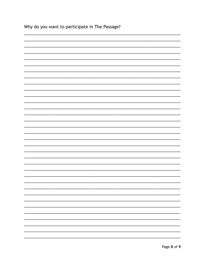| Why do you want to participate in The Passage? |
|------------------------------------------------|
|                                                |
|                                                |
|                                                |
|                                                |
|                                                |
|                                                |
|                                                |
|                                                |
|                                                |
|                                                |
|                                                |
|                                                |
|                                                |
|                                                |
|                                                |
|                                                |
|                                                |
|                                                |
|                                                |
|                                                |
|                                                |
|                                                |
|                                                |
|                                                |
|                                                |
|                                                |
|                                                |
|                                                |
|                                                |
|                                                |
|                                                |
|                                                |
|                                                |